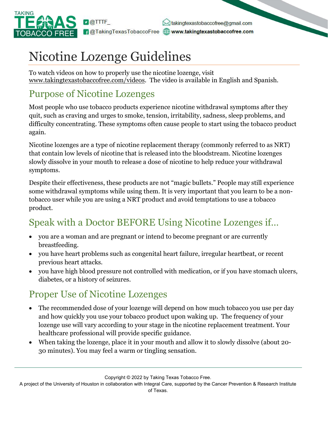

dakingtexastobaccofree@gmail.com **A** @TakingTexasTobaccoFree **@www.takingtexastobaccofree.com** 

# Nicotine Lozenge Guidelines

To watch videos on how to properly use the nicotine lozenge, visit www.takingtexastobaccofree.com/videos. The video is available in English and Spanish.

#### Purpose of Nicotine Lozenges

Most people who use tobacco products experience nicotine withdrawal symptoms after they quit, such as craving and urges to smoke, tension, irritability, sadness, sleep problems, and difficulty concentrating. These symptoms often cause people to start using the tobacco product again.

Nicotine lozenges are a type of nicotine replacement therapy (commonly referred to as NRT) that contain low levels of nicotine that is released into the bloodstream. Nicotine lozenges slowly dissolve in your mouth to release a dose of nicotine to help reduce your withdrawal symptoms.

Despite their effectiveness, these products are not "magic bullets." People may still experience some withdrawal symptoms while using them. It is very important that you learn to be a nontobacco user while you are using a NRT product and avoid temptations to use a tobacco product.

### Speak with a Doctor BEFORE Using Nicotine Lozenges if…

- you are a woman and are pregnant or intend to become pregnant or are currently breastfeeding.
- you have heart problems such as congenital heart failure, irregular heartbeat, or recent previous heart attacks.
- you have high blood pressure not controlled with medication, or if you have stomach ulcers, diabetes, or a history of seizures.

#### Proper Use of Nicotine Lozenges

- The recommended dose of your lozenge will depend on how much tobacco you use per day and how quickly you use your tobacco product upon waking up. The frequency of your lozenge use will vary according to your stage in the nicotine replacement treatment. Your healthcare professional will provide specific guidance.
- When taking the lozenge, place it in your mouth and allow it to slowly dissolve (about 20- 30 minutes). You may feel a warm or tingling sensation.

Copyright © 2022 by Taking Texas Tobacco Free.

A project of the University of Houston in collaboration with Integral Care, supported by the Cancer Prevention & Research Institute of Texas.